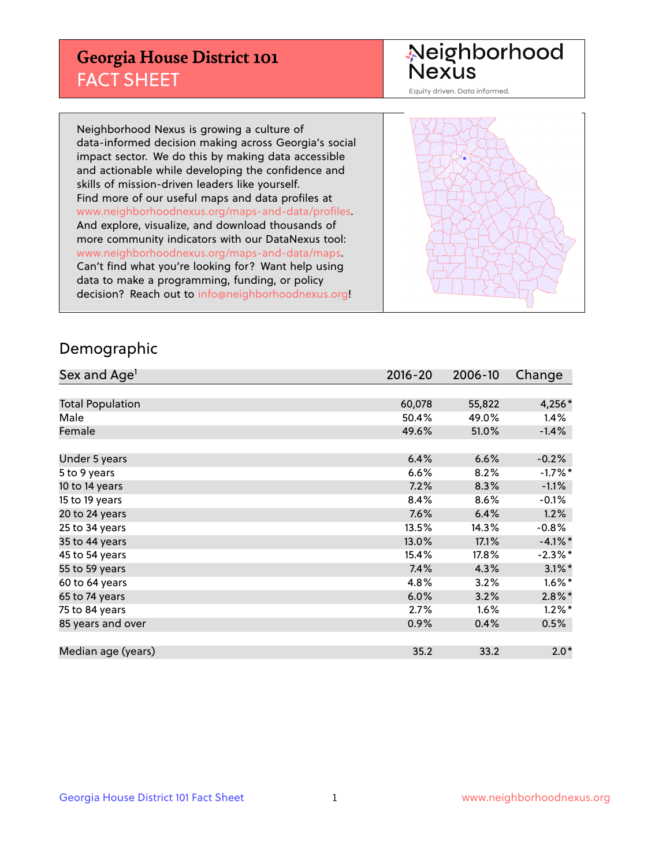## **Georgia House District 101** FACT SHEET

# Neighborhood<br>Nexus

Equity driven. Data informed.

Neighborhood Nexus is growing a culture of data-informed decision making across Georgia's social impact sector. We do this by making data accessible and actionable while developing the confidence and skills of mission-driven leaders like yourself. Find more of our useful maps and data profiles at www.neighborhoodnexus.org/maps-and-data/profiles. And explore, visualize, and download thousands of more community indicators with our DataNexus tool: www.neighborhoodnexus.org/maps-and-data/maps. Can't find what you're looking for? Want help using data to make a programming, funding, or policy decision? Reach out to [info@neighborhoodnexus.org!](mailto:info@neighborhoodnexus.org)



### Demographic

| Sex and Age <sup>1</sup> | $2016 - 20$ | 2006-10 | Change     |
|--------------------------|-------------|---------|------------|
|                          |             |         |            |
| <b>Total Population</b>  | 60,078      | 55,822  | 4,256*     |
| Male                     | 50.4%       | 49.0%   | 1.4%       |
| Female                   | 49.6%       | 51.0%   | $-1.4%$    |
|                          |             |         |            |
| Under 5 years            | 6.4%        | 6.6%    | $-0.2%$    |
| 5 to 9 years             | 6.6%        | 8.2%    | $-1.7%$ *  |
| 10 to 14 years           | 7.2%        | 8.3%    | $-1.1%$    |
| 15 to 19 years           | 8.4%        | 8.6%    | $-0.1%$    |
| 20 to 24 years           | 7.6%        | 6.4%    | 1.2%       |
| 25 to 34 years           | 13.5%       | 14.3%   | $-0.8%$    |
| 35 to 44 years           | 13.0%       | 17.1%   | $-4.1%$ *  |
| 45 to 54 years           | 15.4%       | 17.8%   | $-2.3\%$ * |
| 55 to 59 years           | 7.4%        | 4.3%    | $3.1\%$ *  |
| 60 to 64 years           | 4.8%        | 3.2%    | $1.6\%$ *  |
| 65 to 74 years           | 6.0%        | 3.2%    | $2.8\%$ *  |
| 75 to 84 years           | 2.7%        | 1.6%    | $1.2\%$ *  |
| 85 years and over        | 0.9%        | 0.4%    | 0.5%       |
|                          |             |         |            |
| Median age (years)       | 35.2        | 33.2    | $2.0*$     |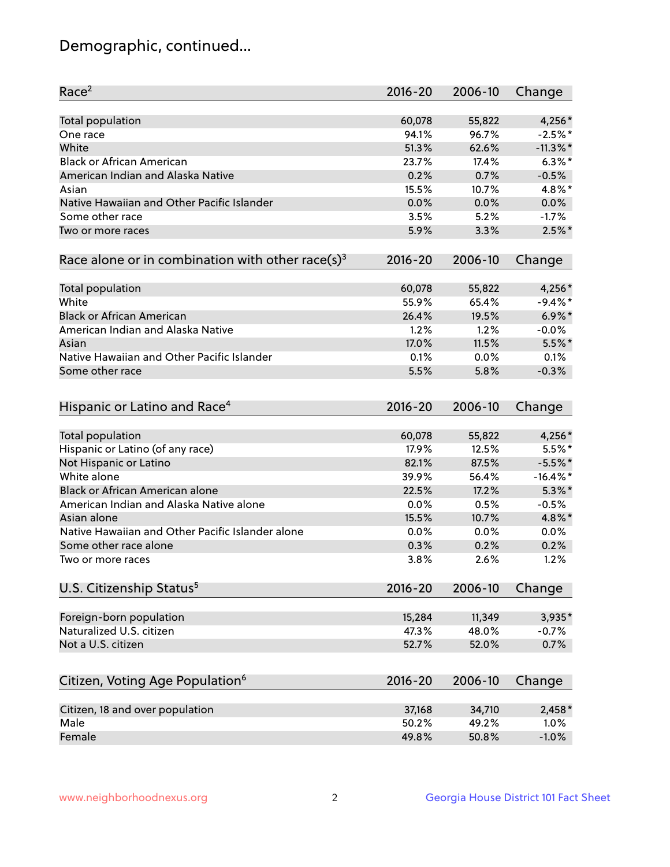## Demographic, continued...

| Race <sup>2</sup>                                            | $2016 - 20$ | 2006-10 | Change      |
|--------------------------------------------------------------|-------------|---------|-------------|
| <b>Total population</b>                                      | 60,078      | 55,822  | 4,256*      |
| One race                                                     | 94.1%       | 96.7%   | $-2.5%$ *   |
| White                                                        | 51.3%       | 62.6%   | $-11.3\%$ * |
| <b>Black or African American</b>                             | 23.7%       | 17.4%   | $6.3\%$ *   |
| American Indian and Alaska Native                            | 0.2%        | 0.7%    | $-0.5%$     |
| Asian                                                        | 15.5%       | 10.7%   | 4.8%*       |
| Native Hawaiian and Other Pacific Islander                   | 0.0%        | 0.0%    | 0.0%        |
| Some other race                                              | 3.5%        | 5.2%    | $-1.7%$     |
| Two or more races                                            | 5.9%        | 3.3%    | $2.5\%$ *   |
| Race alone or in combination with other race(s) <sup>3</sup> | $2016 - 20$ | 2006-10 | Change      |
|                                                              |             |         |             |
| Total population                                             | 60,078      | 55,822  | 4,256*      |
| White                                                        | 55.9%       | 65.4%   | $-9.4%$ *   |
| <b>Black or African American</b>                             | 26.4%       | 19.5%   | $6.9\%$ *   |
| American Indian and Alaska Native                            | 1.2%        | 1.2%    | $-0.0%$     |
| Asian                                                        | 17.0%       | 11.5%   | $5.5%$ *    |
| Native Hawaiian and Other Pacific Islander                   | 0.1%        | 0.0%    | 0.1%        |
| Some other race                                              | 5.5%        | 5.8%    | $-0.3%$     |
| Hispanic or Latino and Race <sup>4</sup>                     | $2016 - 20$ | 2006-10 | Change      |
| <b>Total population</b>                                      | 60,078      | 55,822  | 4,256*      |
| Hispanic or Latino (of any race)                             | 17.9%       | 12.5%   | 5.5%*       |
| Not Hispanic or Latino                                       | 82.1%       | 87.5%   | $-5.5%$ *   |
| White alone                                                  | 39.9%       | 56.4%   | $-16.4\%$ * |
| Black or African American alone                              | 22.5%       | 17.2%   | $5.3\%$ *   |
| American Indian and Alaska Native alone                      | 0.0%        | 0.5%    | $-0.5%$     |
| Asian alone                                                  | 15.5%       | 10.7%   | 4.8%*       |
| Native Hawaiian and Other Pacific Islander alone             | 0.0%        | 0.0%    | 0.0%        |
| Some other race alone                                        | 0.3%        | 0.2%    | 0.2%        |
| Two or more races                                            | 3.8%        | 2.6%    | 1.2%        |
|                                                              | $2016 - 20$ | 2006-10 | Change      |
| U.S. Citizenship Status <sup>5</sup>                         |             |         |             |
| Foreign-born population                                      | 15,284      | 11,349  | 3,935*      |
| Naturalized U.S. citizen                                     | 47.3%       | 48.0%   | $-0.7%$     |
| Not a U.S. citizen                                           | 52.7%       | 52.0%   | 0.7%        |
|                                                              |             |         |             |
| Citizen, Voting Age Population <sup>6</sup>                  | $2016 - 20$ | 2006-10 | Change      |
| Citizen, 18 and over population                              | 37,168      | 34,710  | $2,458*$    |
| Male                                                         | 50.2%       | 49.2%   | 1.0%        |
| Female                                                       | 49.8%       | 50.8%   | $-1.0%$     |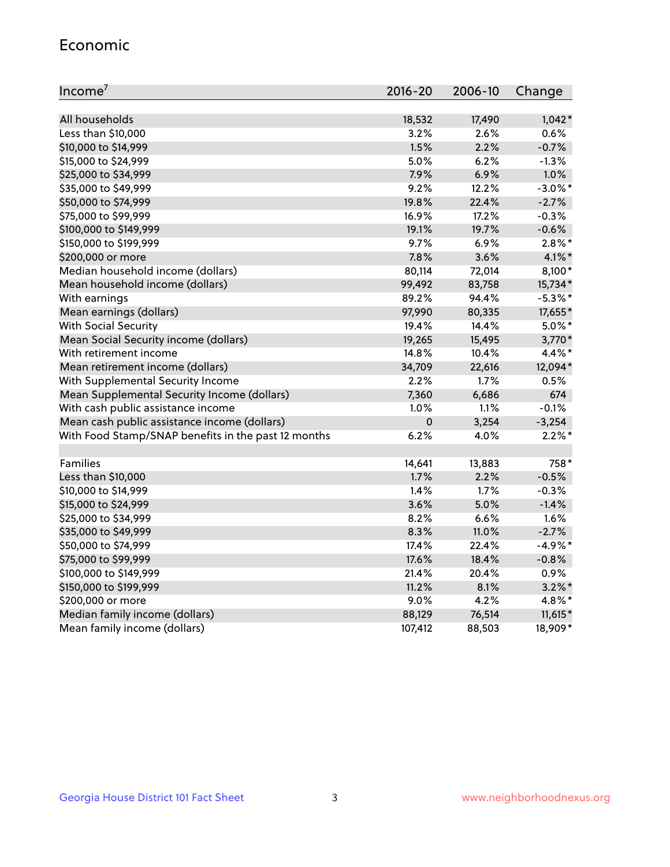#### Economic

| Income <sup>7</sup>                                 | $2016 - 20$ | 2006-10 | Change     |
|-----------------------------------------------------|-------------|---------|------------|
|                                                     |             |         |            |
| All households                                      | 18,532      | 17,490  | $1,042*$   |
| Less than \$10,000                                  | 3.2%        | 2.6%    | 0.6%       |
| \$10,000 to \$14,999                                | 1.5%        | 2.2%    | $-0.7%$    |
| \$15,000 to \$24,999                                | 5.0%        | 6.2%    | $-1.3%$    |
| \$25,000 to \$34,999                                | 7.9%        | 6.9%    | 1.0%       |
| \$35,000 to \$49,999                                | 9.2%        | 12.2%   | $-3.0\%$ * |
| \$50,000 to \$74,999                                | 19.8%       | 22.4%   | $-2.7%$    |
| \$75,000 to \$99,999                                | 16.9%       | 17.2%   | $-0.3%$    |
| \$100,000 to \$149,999                              | 19.1%       | 19.7%   | $-0.6%$    |
| \$150,000 to \$199,999                              | 9.7%        | 6.9%    | $2.8\%$ *  |
| \$200,000 or more                                   | 7.8%        | 3.6%    | 4.1%*      |
| Median household income (dollars)                   | 80,114      | 72,014  | $8,100*$   |
| Mean household income (dollars)                     | 99,492      | 83,758  | 15,734*    |
| With earnings                                       | 89.2%       | 94.4%   | $-5.3\%$ * |
| Mean earnings (dollars)                             | 97,990      | 80,335  | 17,655*    |
| <b>With Social Security</b>                         | 19.4%       | 14.4%   | $5.0\%$ *  |
| Mean Social Security income (dollars)               | 19,265      | 15,495  | 3,770*     |
| With retirement income                              | 14.8%       | 10.4%   | 4.4%*      |
| Mean retirement income (dollars)                    | 34,709      | 22,616  | 12,094*    |
| With Supplemental Security Income                   | $2.2\%$     | $1.7\%$ | 0.5%       |
| Mean Supplemental Security Income (dollars)         | 7,360       | 6,686   | 674        |
| With cash public assistance income                  | 1.0%        | 1.1%    | $-0.1%$    |
| Mean cash public assistance income (dollars)        | $\mathbf 0$ | 3,254   | $-3,254$   |
| With Food Stamp/SNAP benefits in the past 12 months | 6.2%        | 4.0%    | $2.2\%$ *  |
|                                                     |             |         |            |
| Families                                            | 14,641      | 13,883  | 758*       |
| Less than \$10,000                                  | 1.7%        | 2.2%    | $-0.5%$    |
| \$10,000 to \$14,999                                | 1.4%        | 1.7%    | $-0.3%$    |
| \$15,000 to \$24,999                                | 3.6%        | 5.0%    | $-1.4%$    |
| \$25,000 to \$34,999                                | 8.2%        | 6.6%    | 1.6%       |
| \$35,000 to \$49,999                                | 8.3%        | 11.0%   | $-2.7%$    |
| \$50,000 to \$74,999                                | 17.4%       | 22.4%   | $-4.9%$ *  |
| \$75,000 to \$99,999                                | 17.6%       | 18.4%   | $-0.8%$    |
| \$100,000 to \$149,999                              | 21.4%       | 20.4%   | 0.9%       |
| \$150,000 to \$199,999                              | 11.2%       | 8.1%    | $3.2\%$ *  |
| \$200,000 or more                                   | 9.0%        | 4.2%    | 4.8%*      |
| Median family income (dollars)                      | 88,129      | 76,514  | $11,615*$  |
| Mean family income (dollars)                        | 107,412     | 88,503  | 18,909*    |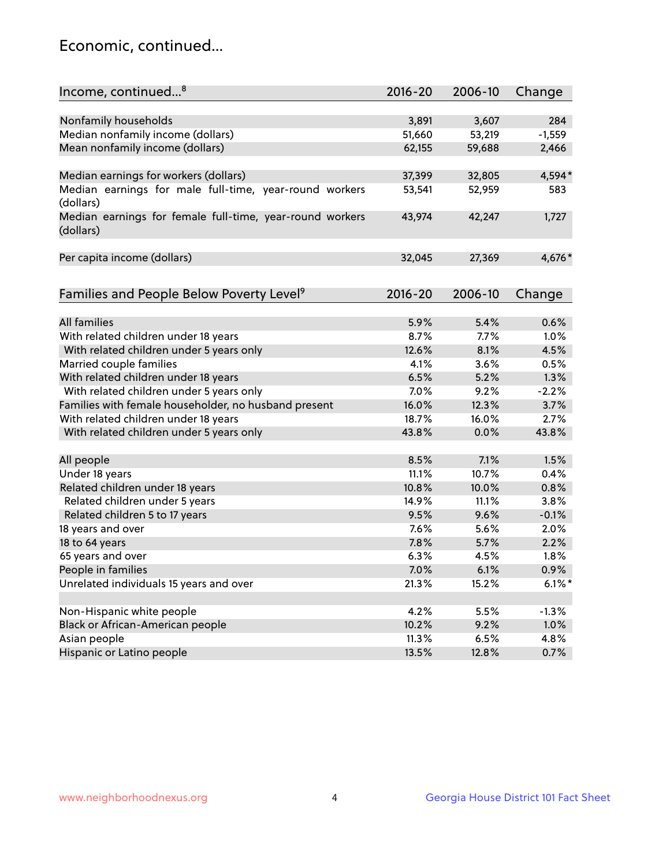## Economic, continued...

| Income, continued <sup>8</sup>                                        | $2016 - 20$ | 2006-10 | Change    |
|-----------------------------------------------------------------------|-------------|---------|-----------|
|                                                                       |             |         |           |
| Nonfamily households                                                  | 3,891       | 3,607   | 284       |
| Median nonfamily income (dollars)                                     | 51,660      | 53,219  | $-1,559$  |
| Mean nonfamily income (dollars)                                       | 62,155      | 59,688  | 2,466     |
| Median earnings for workers (dollars)                                 | 37,399      | 32,805  | 4,594*    |
| Median earnings for male full-time, year-round workers                | 53,541      | 52,959  | 583       |
| (dollars)                                                             |             |         |           |
| Median earnings for female full-time, year-round workers<br>(dollars) | 43,974      | 42,247  | 1,727     |
| Per capita income (dollars)                                           | 32,045      | 27,369  | 4,676*    |
|                                                                       |             |         |           |
| Families and People Below Poverty Level <sup>9</sup>                  | $2016 - 20$ | 2006-10 | Change    |
|                                                                       |             |         |           |
| <b>All families</b>                                                   | 5.9%        | 5.4%    | 0.6%      |
| With related children under 18 years                                  | 8.7%        | 7.7%    | 1.0%      |
| With related children under 5 years only                              | 12.6%       | 8.1%    | 4.5%      |
| Married couple families                                               | 4.1%        | 3.6%    | 0.5%      |
| With related children under 18 years                                  | 6.5%        | 5.2%    | 1.3%      |
| With related children under 5 years only                              | 7.0%        | 9.2%    | $-2.2%$   |
| Families with female householder, no husband present                  | 16.0%       | 12.3%   | 3.7%      |
| With related children under 18 years                                  | 18.7%       | 16.0%   | 2.7%      |
| With related children under 5 years only                              | 43.8%       | 0.0%    | 43.8%     |
| All people                                                            | 8.5%        | 7.1%    | 1.5%      |
| Under 18 years                                                        | 11.1%       | 10.7%   | 0.4%      |
| Related children under 18 years                                       | 10.8%       | 10.0%   | 0.8%      |
| Related children under 5 years                                        | 14.9%       | 11.1%   | 3.8%      |
| Related children 5 to 17 years                                        | 9.5%        | 9.6%    | $-0.1%$   |
| 18 years and over                                                     | 7.6%        | 5.6%    | 2.0%      |
| 18 to 64 years                                                        | 7.8%        | 5.7%    | 2.2%      |
| 65 years and over                                                     | 6.3%        | 4.5%    | 1.8%      |
| People in families                                                    | 7.0%        | 6.1%    | 0.9%      |
| Unrelated individuals 15 years and over                               | 21.3%       | 15.2%   | $6.1\%$ * |
|                                                                       |             |         |           |
| Non-Hispanic white people                                             | 4.2%        | 5.5%    | $-1.3%$   |
| Black or African-American people                                      | 10.2%       | 9.2%    | 1.0%      |
| Asian people                                                          | 11.3%       | 6.5%    | 4.8%      |
| Hispanic or Latino people                                             | 13.5%       | 12.8%   | 0.7%      |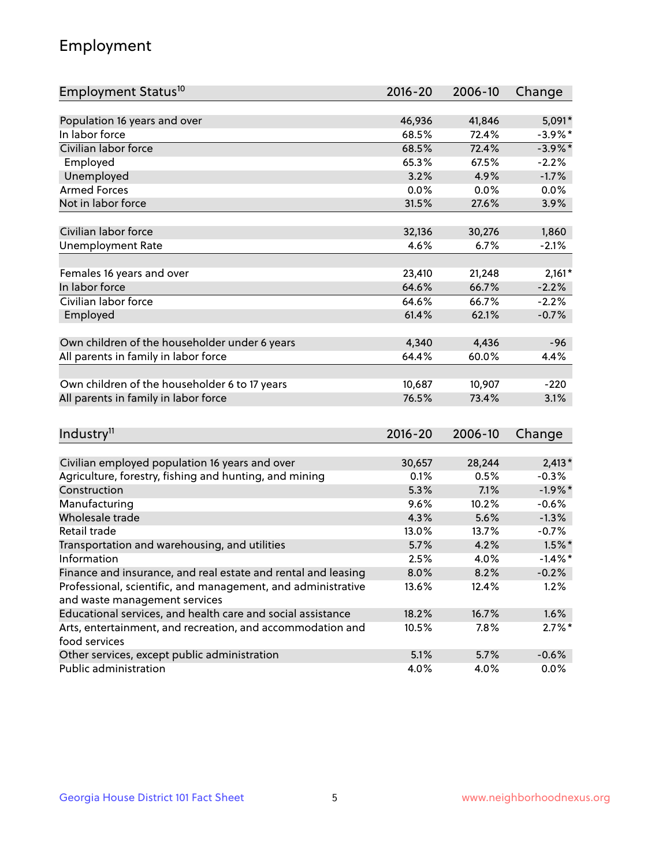## Employment

| Employment Status <sup>10</sup>                                             | $2016 - 20$ | 2006-10 | Change     |
|-----------------------------------------------------------------------------|-------------|---------|------------|
|                                                                             |             |         |            |
| Population 16 years and over                                                | 46,936      | 41,846  | 5,091*     |
| In labor force                                                              | 68.5%       | 72.4%   | $-3.9\%$ * |
| Civilian labor force                                                        | 68.5%       | 72.4%   | $-3.9\%$ * |
| Employed                                                                    | 65.3%       | 67.5%   | $-2.2%$    |
| Unemployed                                                                  | 3.2%        | 4.9%    | $-1.7%$    |
| <b>Armed Forces</b>                                                         | 0.0%        | 0.0%    | 0.0%       |
| Not in labor force                                                          | 31.5%       | 27.6%   | 3.9%       |
| Civilian labor force                                                        | 32,136      | 30,276  | 1,860      |
| <b>Unemployment Rate</b>                                                    | 4.6%        | 6.7%    | $-2.1%$    |
|                                                                             |             |         |            |
| Females 16 years and over                                                   | 23,410      | 21,248  | $2,161*$   |
| In labor force                                                              | 64.6%       | 66.7%   | $-2.2%$    |
| Civilian labor force                                                        | 64.6%       | 66.7%   | $-2.2%$    |
| Employed                                                                    | 61.4%       | 62.1%   | $-0.7%$    |
| Own children of the householder under 6 years                               | 4,340       | 4,436   | $-96$      |
| All parents in family in labor force                                        | 64.4%       | 60.0%   | 4.4%       |
|                                                                             |             |         |            |
| Own children of the householder 6 to 17 years                               | 10,687      | 10,907  | $-220$     |
| All parents in family in labor force                                        | 76.5%       | 73.4%   | 3.1%       |
|                                                                             |             |         |            |
| Industry <sup>11</sup>                                                      | $2016 - 20$ | 2006-10 | Change     |
|                                                                             |             |         |            |
| Civilian employed population 16 years and over                              | 30,657      | 28,244  | $2,413*$   |
| Agriculture, forestry, fishing and hunting, and mining                      | 0.1%        | 0.5%    | $-0.3%$    |
| Construction                                                                | 5.3%        | 7.1%    | $-1.9%$ *  |
| Manufacturing                                                               | 9.6%        | 10.2%   | $-0.6%$    |
| Wholesale trade                                                             | 4.3%        | 5.6%    | $-1.3%$    |
| Retail trade                                                                | 13.0%       | 13.7%   | $-0.7%$    |
| Transportation and warehousing, and utilities                               | 5.7%        | 4.2%    | $1.5\%$ *  |
| Information                                                                 | 2.5%        | 4.0%    | $-1.4\%$ * |
| Finance and insurance, and real estate and rental and leasing               | 8.0%        | 8.2%    | $-0.2%$    |
| Professional, scientific, and management, and administrative                | 13.6%       | 12.4%   | 1.2%       |
| and waste management services                                               |             |         |            |
| Educational services, and health care and social assistance                 | 18.2%       | 16.7%   | 1.6%       |
| Arts, entertainment, and recreation, and accommodation and<br>food services | 10.5%       | 7.8%    | $2.7\%$ *  |
| Other services, except public administration                                | 5.1%        | 5.7%    | $-0.6%$    |
| Public administration                                                       | 4.0%        | 4.0%    | $0.0\%$    |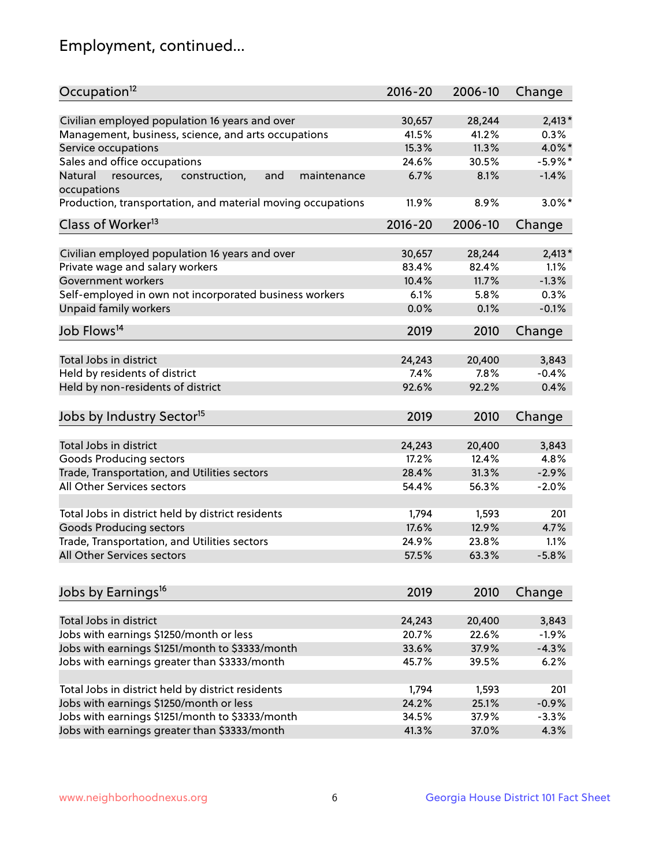## Employment, continued...

| Occupation <sup>12</sup>                                    | $2016 - 20$ | 2006-10 | Change     |
|-------------------------------------------------------------|-------------|---------|------------|
| Civilian employed population 16 years and over              | 30,657      | 28,244  | $2,413*$   |
| Management, business, science, and arts occupations         | 41.5%       | 41.2%   | 0.3%       |
| Service occupations                                         | 15.3%       | 11.3%   | 4.0%*      |
| Sales and office occupations                                | 24.6%       | 30.5%   | $-5.9\%$ * |
| Natural<br>and<br>maintenance                               | 6.7%        | 8.1%    | $-1.4%$    |
| resources,<br>construction,<br>occupations                  |             |         |            |
| Production, transportation, and material moving occupations | 11.9%       | 8.9%    | $3.0\%$ *  |
| Class of Worker <sup>13</sup>                               | $2016 - 20$ | 2006-10 | Change     |
| Civilian employed population 16 years and over              | 30,657      | 28,244  | $2,413*$   |
| Private wage and salary workers                             | 83.4%       | 82.4%   | 1.1%       |
| Government workers                                          | 10.4%       | 11.7%   | $-1.3%$    |
| Self-employed in own not incorporated business workers      | 6.1%        | 5.8%    | 0.3%       |
| Unpaid family workers                                       | 0.0%        | 0.1%    | $-0.1%$    |
| Job Flows <sup>14</sup>                                     | 2019        | 2010    | Change     |
|                                                             |             |         |            |
| Total Jobs in district                                      | 24,243      | 20,400  | 3,843      |
| Held by residents of district                               | 7.4%        | 7.8%    | $-0.4%$    |
| Held by non-residents of district                           | 92.6%       | 92.2%   | 0.4%       |
| Jobs by Industry Sector <sup>15</sup>                       | 2019        | 2010    | Change     |
| Total Jobs in district                                      | 24,243      | 20,400  | 3,843      |
| Goods Producing sectors                                     | 17.2%       | 12.4%   | 4.8%       |
| Trade, Transportation, and Utilities sectors                | 28.4%       | 31.3%   | $-2.9%$    |
| All Other Services sectors                                  | 54.4%       | 56.3%   | $-2.0%$    |
|                                                             |             |         |            |
| Total Jobs in district held by district residents           | 1,794       | 1,593   | 201        |
| <b>Goods Producing sectors</b>                              | 17.6%       | 12.9%   | 4.7%       |
| Trade, Transportation, and Utilities sectors                | 24.9%       | 23.8%   | 1.1%       |
| All Other Services sectors                                  | 57.5%       | 63.3%   | $-5.8%$    |
|                                                             |             |         |            |
| Jobs by Earnings <sup>16</sup>                              | 2019        | 2010    | Change     |
| Total Jobs in district                                      | 24,243      | 20,400  | 3,843      |
| Jobs with earnings \$1250/month or less                     | 20.7%       | 22.6%   | $-1.9%$    |
| Jobs with earnings \$1251/month to \$3333/month             | 33.6%       | 37.9%   | $-4.3%$    |
| Jobs with earnings greater than \$3333/month                | 45.7%       | 39.5%   | 6.2%       |
|                                                             |             |         |            |
| Total Jobs in district held by district residents           | 1,794       | 1,593   | 201        |
| Jobs with earnings \$1250/month or less                     | 24.2%       | 25.1%   | $-0.9%$    |
| Jobs with earnings \$1251/month to \$3333/month             | 34.5%       | 37.9%   | $-3.3%$    |
| Jobs with earnings greater than \$3333/month                | 41.3%       | 37.0%   | 4.3%       |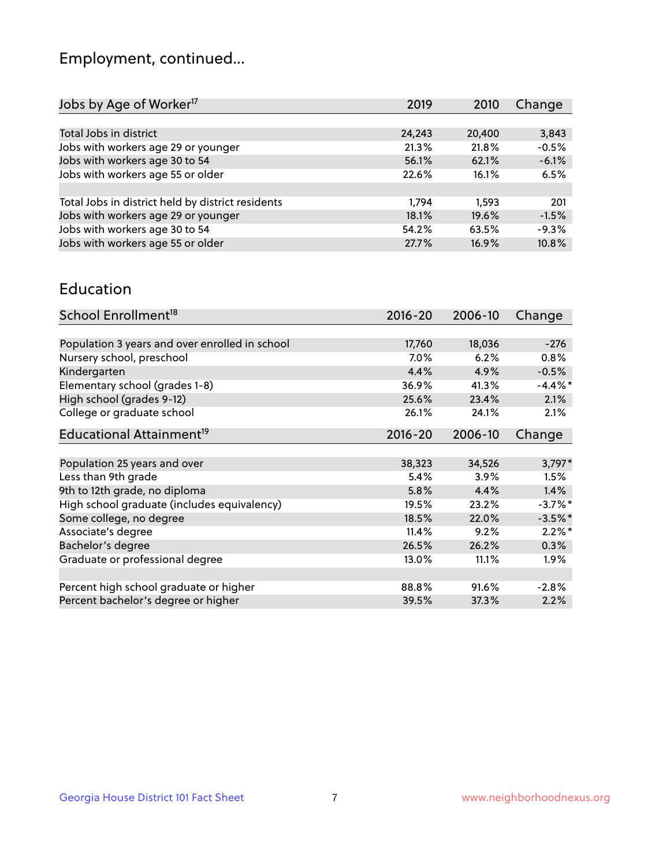## Employment, continued...

| 2019   | 2010   | Change  |
|--------|--------|---------|
|        |        |         |
| 24,243 | 20,400 | 3,843   |
| 21.3%  | 21.8%  | $-0.5%$ |
| 56.1%  | 62.1%  | $-6.1%$ |
| 22.6%  | 16.1%  | 6.5%    |
|        |        |         |
| 1.794  | 1.593  | 201     |
| 18.1%  | 19.6%  | $-1.5%$ |
| 54.2%  | 63.5%  | $-9.3%$ |
| 27.7%  | 16.9%  | 10.8%   |
|        |        |         |

#### Education

| School Enrollment <sup>18</sup>                | $2016 - 20$ | 2006-10 | Change     |
|------------------------------------------------|-------------|---------|------------|
|                                                |             |         |            |
| Population 3 years and over enrolled in school | 17,760      | 18,036  | $-276$     |
| Nursery school, preschool                      | $7.0\%$     | 6.2%    | $0.8\%$    |
| Kindergarten                                   | 4.4%        | 4.9%    | $-0.5%$    |
| Elementary school (grades 1-8)                 | 36.9%       | 41.3%   | $-4.4\%$ * |
| High school (grades 9-12)                      | 25.6%       | 23.4%   | 2.1%       |
| College or graduate school                     | 26.1%       | 24.1%   | 2.1%       |
| Educational Attainment <sup>19</sup>           | $2016 - 20$ | 2006-10 | Change     |
|                                                |             |         |            |
| Population 25 years and over                   | 38,323      | 34,526  | $3,797*$   |
| Less than 9th grade                            | 5.4%        | 3.9%    | 1.5%       |
| 9th to 12th grade, no diploma                  | 5.8%        | 4.4%    | 1.4%       |
| High school graduate (includes equivalency)    | 19.5%       | 23.2%   | $-3.7%$ *  |
| Some college, no degree                        | 18.5%       | 22.0%   | $-3.5%$ *  |
| Associate's degree                             | 11.4%       | 9.2%    | $2.2\%$ *  |
| Bachelor's degree                              | 26.5%       | 26.2%   | 0.3%       |
| Graduate or professional degree                | 13.0%       | 11.1%   | $1.9\%$    |
|                                                |             |         |            |
| Percent high school graduate or higher         | 88.8%       | 91.6%   | $-2.8%$    |
| Percent bachelor's degree or higher            | 39.5%       | 37.3%   | 2.2%       |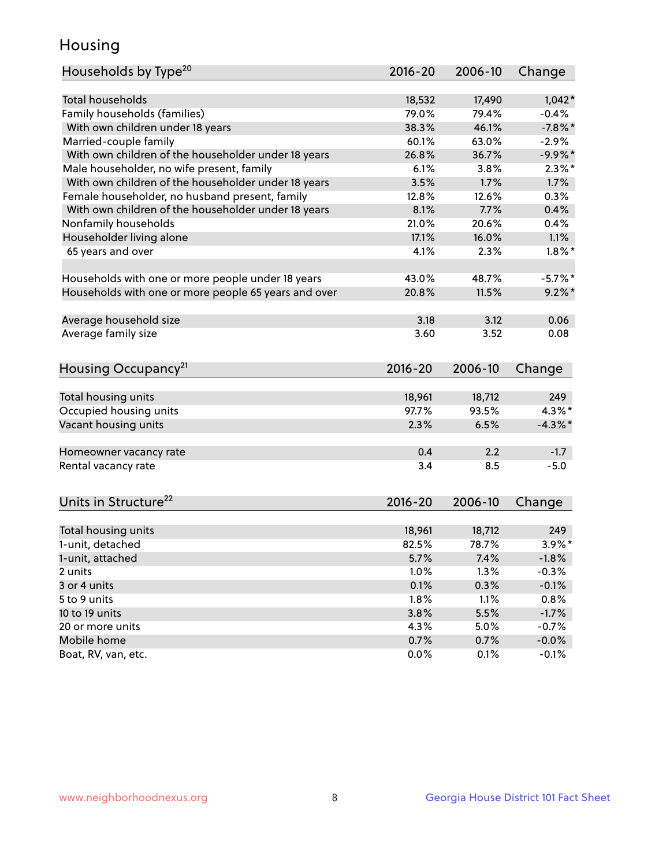## Housing

| Households by Type <sup>20</sup>                     | 2016-20     | 2006-10 | Change     |
|------------------------------------------------------|-------------|---------|------------|
|                                                      |             |         |            |
| <b>Total households</b>                              | 18,532      | 17,490  | $1,042*$   |
| Family households (families)                         | 79.0%       | 79.4%   | $-0.4%$    |
| With own children under 18 years                     | 38.3%       | 46.1%   | $-7.8%$    |
| Married-couple family                                | 60.1%       | 63.0%   | $-2.9%$    |
| With own children of the householder under 18 years  | 26.8%       | 36.7%   | $-9.9%$ *  |
| Male householder, no wife present, family            | 6.1%        | 3.8%    | $2.3\%$ *  |
| With own children of the householder under 18 years  | 3.5%        | 1.7%    | 1.7%       |
| Female householder, no husband present, family       | 12.8%       | 12.6%   | 0.3%       |
| With own children of the householder under 18 years  | 8.1%        | 7.7%    | 0.4%       |
| Nonfamily households                                 | 21.0%       | 20.6%   | 0.4%       |
| Householder living alone                             | 17.1%       | 16.0%   | 1.1%       |
| 65 years and over                                    | 4.1%        | 2.3%    | $1.8\%$ *  |
|                                                      |             |         |            |
| Households with one or more people under 18 years    | 43.0%       | 48.7%   | $-5.7%$ *  |
| Households with one or more people 65 years and over | 20.8%       | 11.5%   | $9.2\%$ *  |
|                                                      |             |         |            |
| Average household size                               | 3.18        | 3.12    | 0.06       |
| Average family size                                  | 3.60        | 3.52    | 0.08       |
|                                                      |             |         |            |
| Housing Occupancy <sup>21</sup>                      | 2016-20     | 2006-10 | Change     |
|                                                      |             |         |            |
| Total housing units                                  | 18,961      | 18,712  | 249        |
| Occupied housing units                               | 97.7%       | 93.5%   | $4.3\%$ *  |
| Vacant housing units                                 | 2.3%        | 6.5%    | $-4.3\%$ * |
|                                                      |             |         |            |
| Homeowner vacancy rate                               | 0.4         | 2.2     | $-1.7$     |
| Rental vacancy rate                                  | 3.4         | 8.5     | $-5.0$     |
|                                                      |             |         |            |
| Units in Structure <sup>22</sup>                     | $2016 - 20$ | 2006-10 | Change     |
|                                                      |             |         |            |
| Total housing units                                  | 18,961      | 18,712  | 249        |
| 1-unit, detached                                     | 82.5%       | 78.7%   | $3.9\%$ *  |
| 1-unit, attached                                     | 5.7%        | 7.4%    | $-1.8%$    |
| 2 units                                              | 1.0%        | 1.3%    | $-0.3%$    |
| 3 or 4 units                                         | 0.1%        | 0.3%    | $-0.1%$    |
| 5 to 9 units                                         | 1.8%        | 1.1%    | 0.8%       |
| 10 to 19 units                                       | 3.8%        | 5.5%    | $-1.7%$    |
| 20 or more units                                     | 4.3%        | 5.0%    | $-0.7%$    |
| Mobile home                                          | 0.7%        | 0.7%    | $-0.0%$    |
| Boat, RV, van, etc.                                  | 0.0%        | 0.1%    | $-0.1%$    |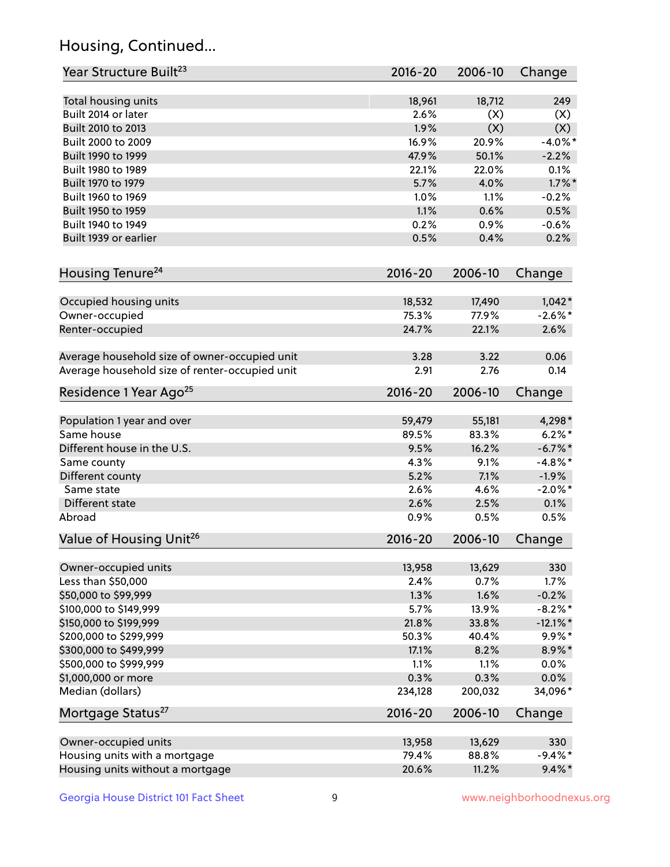## Housing, Continued...

| Year Structure Built <sup>23</sup>             | 2016-20     | 2006-10 | Change      |
|------------------------------------------------|-------------|---------|-------------|
| Total housing units                            | 18,961      | 18,712  | 249         |
| Built 2014 or later                            | 2.6%        | (X)     | (X)         |
| Built 2010 to 2013                             | 1.9%        | (X)     | (X)         |
| Built 2000 to 2009                             | 16.9%       | 20.9%   | $-4.0\%$ *  |
| Built 1990 to 1999                             | 47.9%       | 50.1%   | $-2.2%$     |
| Built 1980 to 1989                             | 22.1%       | 22.0%   | 0.1%        |
| Built 1970 to 1979                             | 5.7%        | 4.0%    | $1.7\%$ *   |
| Built 1960 to 1969                             | 1.0%        | 1.1%    | $-0.2%$     |
| Built 1950 to 1959                             | 1.1%        | 0.6%    | 0.5%        |
| Built 1940 to 1949                             | 0.2%        | 0.9%    | $-0.6%$     |
| Built 1939 or earlier                          | 0.5%        | 0.4%    | 0.2%        |
| Housing Tenure <sup>24</sup>                   | 2016-20     | 2006-10 | Change      |
| Occupied housing units                         | 18,532      | 17,490  | $1,042*$    |
| Owner-occupied                                 | 75.3%       | 77.9%   | $-2.6\%$ *  |
| Renter-occupied                                | 24.7%       | 22.1%   | 2.6%        |
| Average household size of owner-occupied unit  | 3.28        | 3.22    | 0.06        |
| Average household size of renter-occupied unit | 2.91        | 2.76    | 0.14        |
| Residence 1 Year Ago <sup>25</sup>             | $2016 - 20$ | 2006-10 | Change      |
|                                                |             |         |             |
| Population 1 year and over                     | 59,479      | 55,181  | 4,298*      |
| Same house                                     | 89.5%       | 83.3%   | $6.2%$ *    |
| Different house in the U.S.                    | 9.5%        | 16.2%   | $-6.7\%$ *  |
| Same county                                    | 4.3%        | 9.1%    | $-4.8\%$ *  |
| Different county                               | 5.2%        | 7.1%    | $-1.9%$     |
| Same state                                     | 2.6%        | 4.6%    | $-2.0\%$ *  |
| Different state                                | 2.6%        | 2.5%    | 0.1%        |
| Abroad                                         | 0.9%        | 0.5%    | 0.5%        |
| Value of Housing Unit <sup>26</sup>            | 2016-20     | 2006-10 | Change      |
| Owner-occupied units                           | 13,958      | 13,629  | 330         |
| Less than \$50,000                             | 2.4%        | 0.7%    | 1.7%        |
| \$50,000 to \$99,999                           | 1.3%        | 1.6%    | $-0.2%$     |
| \$100,000 to \$149,999                         | 5.7%        | 13.9%   | $-8.2\%$ *  |
| \$150,000 to \$199,999                         | 21.8%       | 33.8%   | $-12.1\%$ * |
| \$200,000 to \$299,999                         | 50.3%       | 40.4%   | $9.9\% *$   |
| \$300,000 to \$499,999                         | 17.1%       | 8.2%    | 8.9%*       |
| \$500,000 to \$999,999                         | 1.1%        | 1.1%    | 0.0%        |
| \$1,000,000 or more                            | 0.3%        | 0.3%    | 0.0%        |
| Median (dollars)                               | 234,128     | 200,032 | 34,096*     |
| Mortgage Status <sup>27</sup>                  | $2016 - 20$ | 2006-10 | Change      |
| Owner-occupied units                           | 13,958      | 13,629  | 330         |
| Housing units with a mortgage                  | 79.4%       | 88.8%   | $-9.4\%$ *  |
| Housing units without a mortgage               | 20.6%       | 11.2%   | $9.4\%$ *   |
|                                                |             |         |             |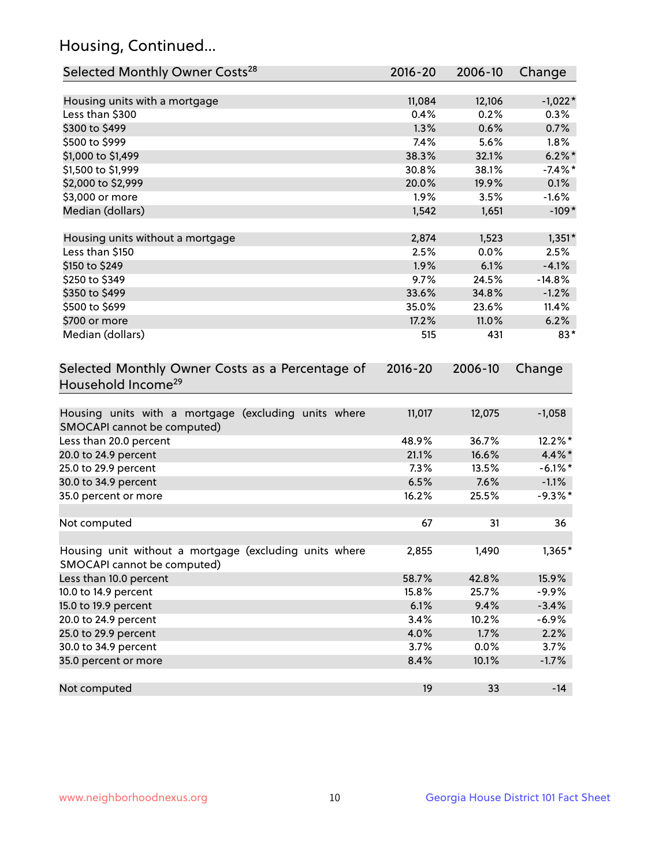## Housing, Continued...

| Selected Monthly Owner Costs <sup>28</sup>                                            | 2016-20     | 2006-10 | Change     |
|---------------------------------------------------------------------------------------|-------------|---------|------------|
| Housing units with a mortgage                                                         | 11,084      | 12,106  | $-1,022*$  |
| Less than \$300                                                                       | 0.4%        | 0.2%    | 0.3%       |
| \$300 to \$499                                                                        | 1.3%        | 0.6%    | 0.7%       |
| \$500 to \$999                                                                        | 7.4%        | 5.6%    | 1.8%       |
| \$1,000 to \$1,499                                                                    | 38.3%       | 32.1%   | $6.2\%$ *  |
| \$1,500 to \$1,999                                                                    | 30.8%       | 38.1%   | $-7.4\%$ * |
| \$2,000 to \$2,999                                                                    | 20.0%       | 19.9%   | 0.1%       |
| \$3,000 or more                                                                       | 1.9%        | 3.5%    | $-1.6%$    |
| Median (dollars)                                                                      | 1,542       | 1,651   | $-109*$    |
| Housing units without a mortgage                                                      | 2,874       | 1,523   | $1,351*$   |
| Less than \$150                                                                       | 2.5%        | 0.0%    | 2.5%       |
| \$150 to \$249                                                                        | 1.9%        | 6.1%    | $-4.1%$    |
| \$250 to \$349                                                                        | 9.7%        | 24.5%   | $-14.8%$   |
| \$350 to \$499                                                                        | 33.6%       | 34.8%   | $-1.2%$    |
| \$500 to \$699                                                                        | 35.0%       | 23.6%   | 11.4%      |
| \$700 or more                                                                         | 17.2%       | 11.0%   | 6.2%       |
| Median (dollars)                                                                      | 515         | 431     | $83*$      |
| Selected Monthly Owner Costs as a Percentage of<br>Household Income <sup>29</sup>     | $2016 - 20$ | 2006-10 | Change     |
| Housing units with a mortgage (excluding units where<br>SMOCAPI cannot be computed)   | 11,017      | 12,075  | $-1,058$   |
| Less than 20.0 percent                                                                | 48.9%       | 36.7%   | 12.2%*     |
| 20.0 to 24.9 percent                                                                  | 21.1%       | 16.6%   | $4.4\%$ *  |
| 25.0 to 29.9 percent                                                                  | 7.3%        | 13.5%   | $-6.1\%$ * |
| 30.0 to 34.9 percent                                                                  | 6.5%        | 7.6%    | $-1.1%$    |
| 35.0 percent or more                                                                  | 16.2%       | 25.5%   | $-9.3%$ *  |
| Not computed                                                                          | 67          | 31      | 36         |
| Housing unit without a mortgage (excluding units where<br>SMOCAPI cannot be computed) | 2,855       | 1,490   | 1,365*     |
| Less than 10.0 percent                                                                | 58.7%       | 42.8%   | 15.9%      |
| 10.0 to 14.9 percent                                                                  | 15.8%       | 25.7%   | $-9.9%$    |
| 15.0 to 19.9 percent                                                                  | 6.1%        | 9.4%    | $-3.4%$    |
| 20.0 to 24.9 percent                                                                  | 3.4%        | 10.2%   | $-6.9%$    |
| 25.0 to 29.9 percent                                                                  | 4.0%        | 1.7%    | 2.2%       |
| 30.0 to 34.9 percent                                                                  | 3.7%        | 0.0%    | 3.7%       |
| 35.0 percent or more                                                                  | 8.4%        | 10.1%   | $-1.7%$    |
| Not computed                                                                          | 19          | 33      | $-14$      |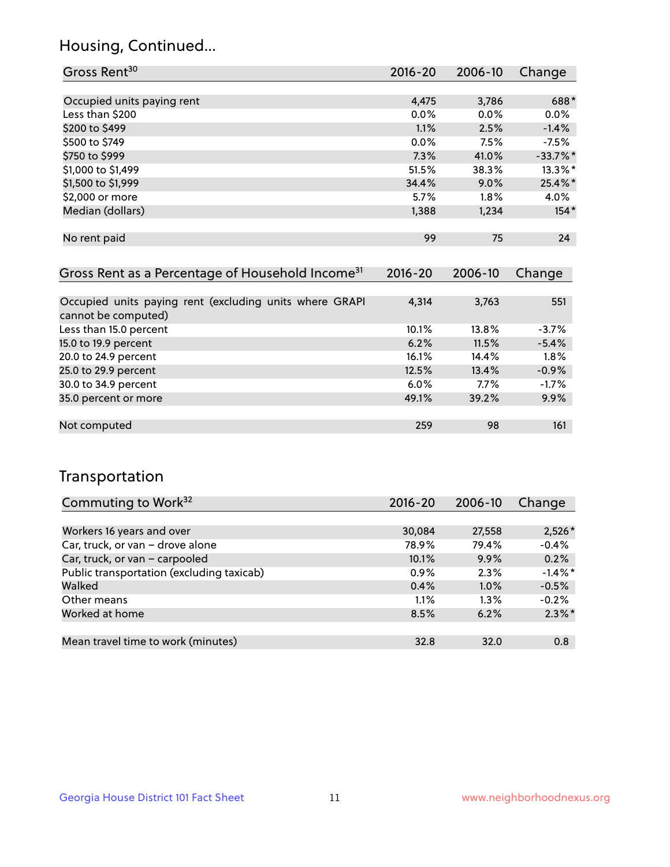## Housing, Continued...

| Gross Rent <sup>30</sup>   | 2016-20 | 2006-10 | Change     |
|----------------------------|---------|---------|------------|
|                            |         |         |            |
| Occupied units paying rent | 4,475   | 3,786   | 688*       |
| Less than \$200            | $0.0\%$ | 0.0%    | $0.0\%$    |
| \$200 to \$499             | 1.1%    | 2.5%    | $-1.4%$    |
| \$500 to \$749             | $0.0\%$ | 7.5%    | $-7.5%$    |
| \$750 to \$999             | 7.3%    | 41.0%   | $-33.7%$ * |
| \$1,000 to \$1,499         | 51.5%   | 38.3%   | $13.3\%$ * |
| \$1,500 to \$1,999         | 34.4%   | 9.0%    | $25.4\%$ * |
| \$2,000 or more            | 5.7%    | 1.8%    | 4.0%       |
| Median (dollars)           | 1,388   | 1,234   | $154*$     |
|                            |         |         |            |
| No rent paid               | 99      | 75      | 24         |

| Gross Rent as a Percentage of Household Income <sup>31</sup>                   | $2016 - 20$ | 2006-10 | Change  |
|--------------------------------------------------------------------------------|-------------|---------|---------|
|                                                                                |             |         |         |
| Occupied units paying rent (excluding units where GRAPI<br>cannot be computed) | 4,314       | 3,763   | 551     |
| Less than 15.0 percent                                                         | 10.1%       | 13.8%   | $-3.7%$ |
| 15.0 to 19.9 percent                                                           | 6.2%        | 11.5%   | $-5.4%$ |
| 20.0 to 24.9 percent                                                           | 16.1%       | 14.4%   | 1.8%    |
| 25.0 to 29.9 percent                                                           | 12.5%       | 13.4%   | $-0.9%$ |
| 30.0 to 34.9 percent                                                           | $6.0\%$     | $7.7\%$ | $-1.7%$ |
| 35.0 percent or more                                                           | 49.1%       | 39.2%   | 9.9%    |
|                                                                                |             |         |         |
| Not computed                                                                   | 259         | 98      | 161     |

## Transportation

| Commuting to Work <sup>32</sup>           | 2016-20 | 2006-10 | Change     |
|-------------------------------------------|---------|---------|------------|
|                                           |         |         |            |
| Workers 16 years and over                 | 30,084  | 27,558  | $2,526*$   |
| Car, truck, or van - drove alone          | 78.9%   | 79.4%   | $-0.4%$    |
| Car, truck, or van - carpooled            | 10.1%   | 9.9%    | 0.2%       |
| Public transportation (excluding taxicab) | $0.9\%$ | 2.3%    | $-1.4\%$ * |
| Walked                                    | 0.4%    | 1.0%    | $-0.5%$    |
| Other means                               | 1.1%    | $1.3\%$ | $-0.2%$    |
| Worked at home                            | 8.5%    | 6.2%    | $2.3\%$ *  |
|                                           |         |         |            |
| Mean travel time to work (minutes)        | 32.8    | 32.0    | 0.8        |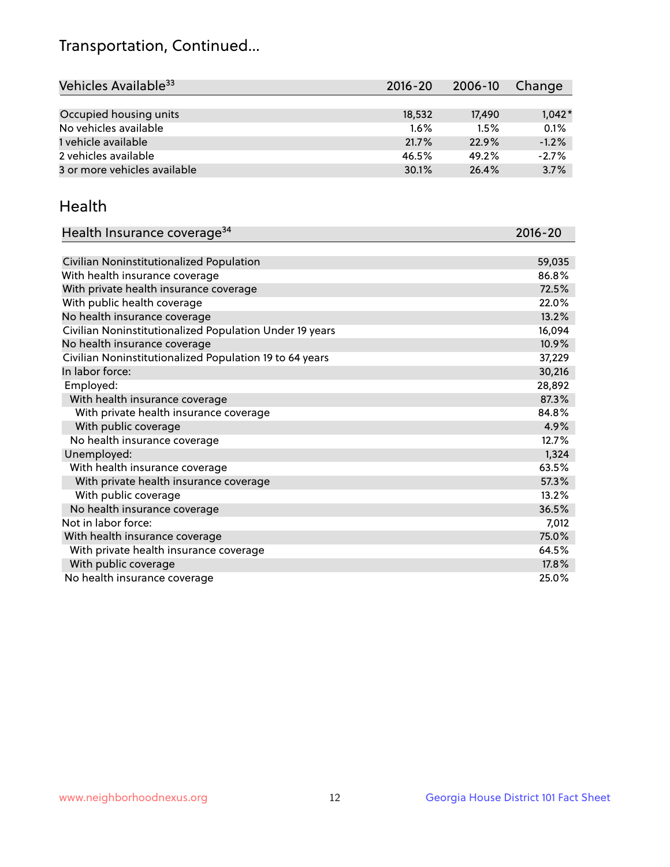## Transportation, Continued...

| Vehicles Available <sup>33</sup> | 2016-20 | 2006-10 | Change   |
|----------------------------------|---------|---------|----------|
|                                  |         |         |          |
| Occupied housing units           | 18,532  | 17.490  | $1,042*$ |
| No vehicles available            | $1.6\%$ | 1.5%    | 0.1%     |
| 1 vehicle available              | 21.7%   | 22.9%   | $-1.2%$  |
| 2 vehicles available             | 46.5%   | 49.2%   | $-2.7%$  |
| 3 or more vehicles available     | 30.1%   | 26.4%   | 3.7%     |

#### Health

| Health Insurance coverage <sup>34</sup>                 | 2016-20 |
|---------------------------------------------------------|---------|
|                                                         |         |
| Civilian Noninstitutionalized Population                | 59,035  |
| With health insurance coverage                          | 86.8%   |
| With private health insurance coverage                  | 72.5%   |
| With public health coverage                             | 22.0%   |
| No health insurance coverage                            | 13.2%   |
| Civilian Noninstitutionalized Population Under 19 years | 16,094  |
| No health insurance coverage                            | 10.9%   |
| Civilian Noninstitutionalized Population 19 to 64 years | 37,229  |
| In labor force:                                         | 30,216  |
| Employed:                                               | 28,892  |
| With health insurance coverage                          | 87.3%   |
| With private health insurance coverage                  | 84.8%   |
| With public coverage                                    | 4.9%    |
| No health insurance coverage                            | 12.7%   |
| Unemployed:                                             | 1,324   |
| With health insurance coverage                          | 63.5%   |
| With private health insurance coverage                  | 57.3%   |
| With public coverage                                    | 13.2%   |
| No health insurance coverage                            | 36.5%   |
| Not in labor force:                                     | 7,012   |
| With health insurance coverage                          | 75.0%   |
| With private health insurance coverage                  | 64.5%   |
| With public coverage                                    | 17.8%   |
| No health insurance coverage                            | 25.0%   |